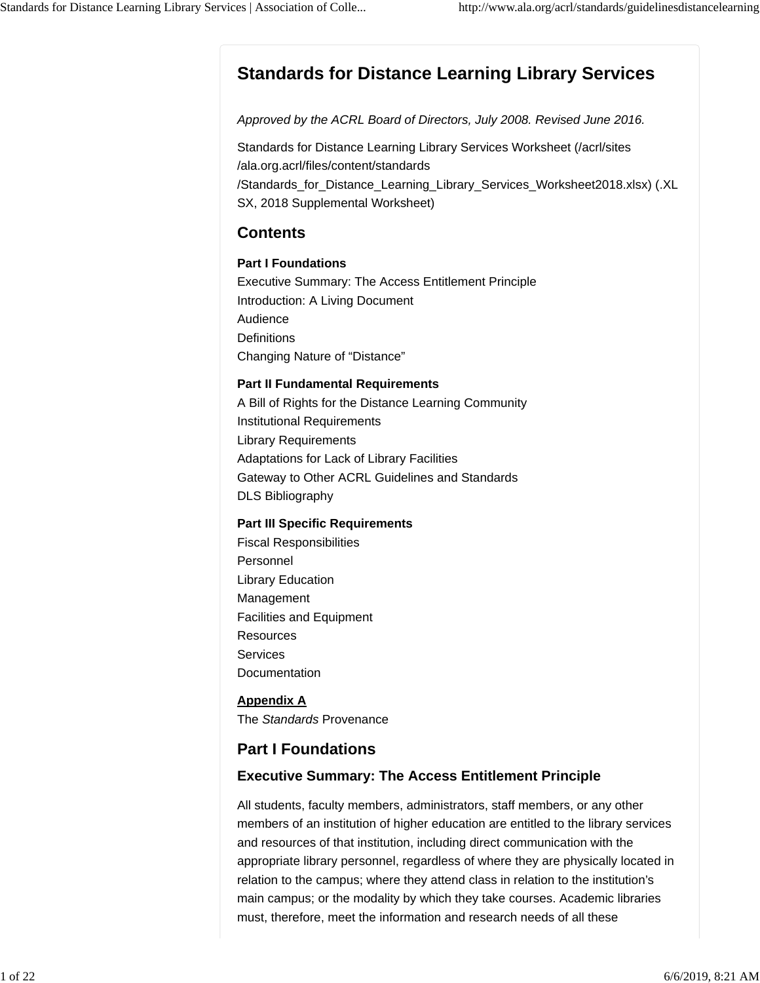# **Standards for Distance Learning Library Services**

*Approved by the ACRL Board of Directors, July 2008. Revised June 2016.*

Standards for Distance Learning Library Services Worksheet (/acrl/sites /ala.org.acrl/files/content/standards /Standards\_for\_Distance\_Learning\_Library\_Services\_Worksheet2018.xlsx) (.XL SX, 2018 Supplemental Worksheet)

### **Contents**

#### **Part I Foundations**

Executive Summary: The Access Entitlement Principle Introduction: A Living Document Audience **Definitions** Changing Nature of "Distance"

#### **Part II Fundamental Requirements**

A Bill of Rights for the Distance Learning Community Institutional Requirements Library Requirements Adaptations for Lack of Library Facilities Gateway to Other ACRL Guidelines and Standards DLS Bibliography

#### **Part III Specific Requirements**

Fiscal Responsibilities Personnel Library Education Management Facilities and Equipment **Resources** Services Documentation

#### **Appendix A** The *Standards* Provenance

## **Part I Foundations**

### **Executive Summary: The Access Entitlement Principle**

All students, faculty members, administrators, staff members, or any other members of an institution of higher education are entitled to the library services and resources of that institution, including direct communication with the appropriate library personnel, regardless of where they are physically located in relation to the campus; where they attend class in relation to the institution's main campus; or the modality by which they take courses. Academic libraries must, therefore, meet the information and research needs of all these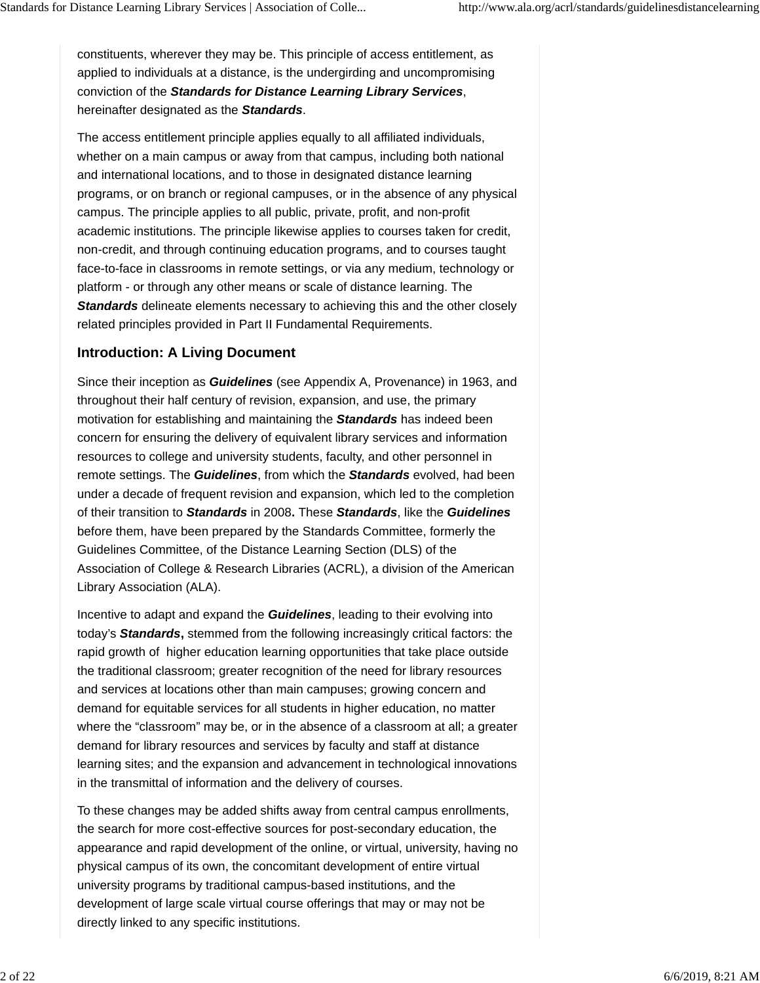constituents, wherever they may be. This principle of access entitlement, as applied to individuals at a distance, is the undergirding and uncompromising conviction of the *Standards for Distance Learning Library Services*, hereinafter designated as the *Standards*.

The access entitlement principle applies equally to all affiliated individuals, whether on a main campus or away from that campus, including both national and international locations, and to those in designated distance learning programs, or on branch or regional campuses, or in the absence of any physical campus. The principle applies to all public, private, profit, and non-profit academic institutions. The principle likewise applies to courses taken for credit, non-credit, and through continuing education programs, and to courses taught face-to-face in classrooms in remote settings, or via any medium, technology or platform - or through any other means or scale of distance learning. The *Standards* delineate elements necessary to achieving this and the other closely related principles provided in Part II Fundamental Requirements.

### **Introduction: A Living Document**

Since their inception as *Guidelines* (see Appendix A, Provenance) in 1963, and throughout their half century of revision, expansion, and use, the primary motivation for establishing and maintaining the *Standards* has indeed been concern for ensuring the delivery of equivalent library services and information resources to college and university students, faculty, and other personnel in remote settings. The *Guidelines*, from which the *Standards* evolved, had been under a decade of frequent revision and expansion, which led to the completion of their transition to *Standards* in 2008**.** These *Standards*, like the *Guidelines* before them, have been prepared by the Standards Committee, formerly the Guidelines Committee, of the Distance Learning Section (DLS) of the Association of College & Research Libraries (ACRL), a division of the American Library Association (ALA).

Incentive to adapt and expand the *Guidelines*, leading to their evolving into today's *Standards***,** stemmed from the following increasingly critical factors: the rapid growth of higher education learning opportunities that take place outside the traditional classroom; greater recognition of the need for library resources and services at locations other than main campuses; growing concern and demand for equitable services for all students in higher education, no matter where the "classroom" may be, or in the absence of a classroom at all; a greater demand for library resources and services by faculty and staff at distance learning sites; and the expansion and advancement in technological innovations in the transmittal of information and the delivery of courses.

To these changes may be added shifts away from central campus enrollments, the search for more cost-effective sources for post-secondary education, the appearance and rapid development of the online, or virtual, university, having no physical campus of its own, the concomitant development of entire virtual university programs by traditional campus-based institutions, and the development of large scale virtual course offerings that may or may not be directly linked to any specific institutions.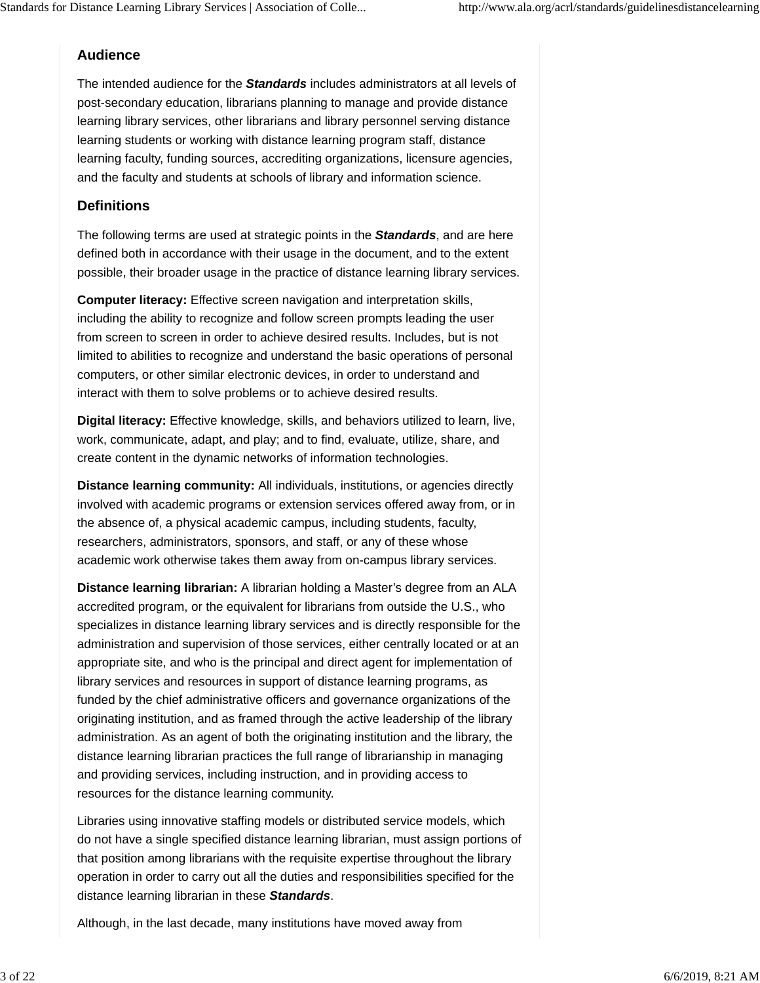### **Audience**

The intended audience for the *Standards* includes administrators at all levels of post-secondary education, librarians planning to manage and provide distance learning library services, other librarians and library personnel serving distance learning students or working with distance learning program staff, distance learning faculty, funding sources, accrediting organizations, licensure agencies, and the faculty and students at schools of library and information science.

### **Definitions**

The following terms are used at strategic points in the *Standards*, and are here defined both in accordance with their usage in the document, and to the extent possible, their broader usage in the practice of distance learning library services.

**Computer literacy:** Effective screen navigation and interpretation skills, including the ability to recognize and follow screen prompts leading the user from screen to screen in order to achieve desired results. Includes, but is not limited to abilities to recognize and understand the basic operations of personal computers, or other similar electronic devices, in order to understand and interact with them to solve problems or to achieve desired results.

**Digital literacy:** Effective knowledge, skills, and behaviors utilized to learn, live, work, communicate, adapt, and play; and to find, evaluate, utilize, share, and create content in the dynamic networks of information technologies.

**Distance learning community:** All individuals, institutions, or agencies directly involved with academic programs or extension services offered away from, or in the absence of, a physical academic campus, including students, faculty, researchers, administrators, sponsors, and staff, or any of these whose academic work otherwise takes them away from on-campus library services.

**Distance learning librarian:** A librarian holding a Master's degree from an ALA accredited program, or the equivalent for librarians from outside the U.S., who specializes in distance learning library services and is directly responsible for the administration and supervision of those services, either centrally located or at an appropriate site, and who is the principal and direct agent for implementation of library services and resources in support of distance learning programs, as funded by the chief administrative officers and governance organizations of the originating institution, and as framed through the active leadership of the library administration. As an agent of both the originating institution and the library, the distance learning librarian practices the full range of librarianship in managing and providing services, including instruction, and in providing access to resources for the distance learning community.

Libraries using innovative staffing models or distributed service models, which do not have a single specified distance learning librarian, must assign portions of that position among librarians with the requisite expertise throughout the library operation in order to carry out all the duties and responsibilities specified for the distance learning librarian in these *Standards*.

Although, in the last decade, many institutions have moved away from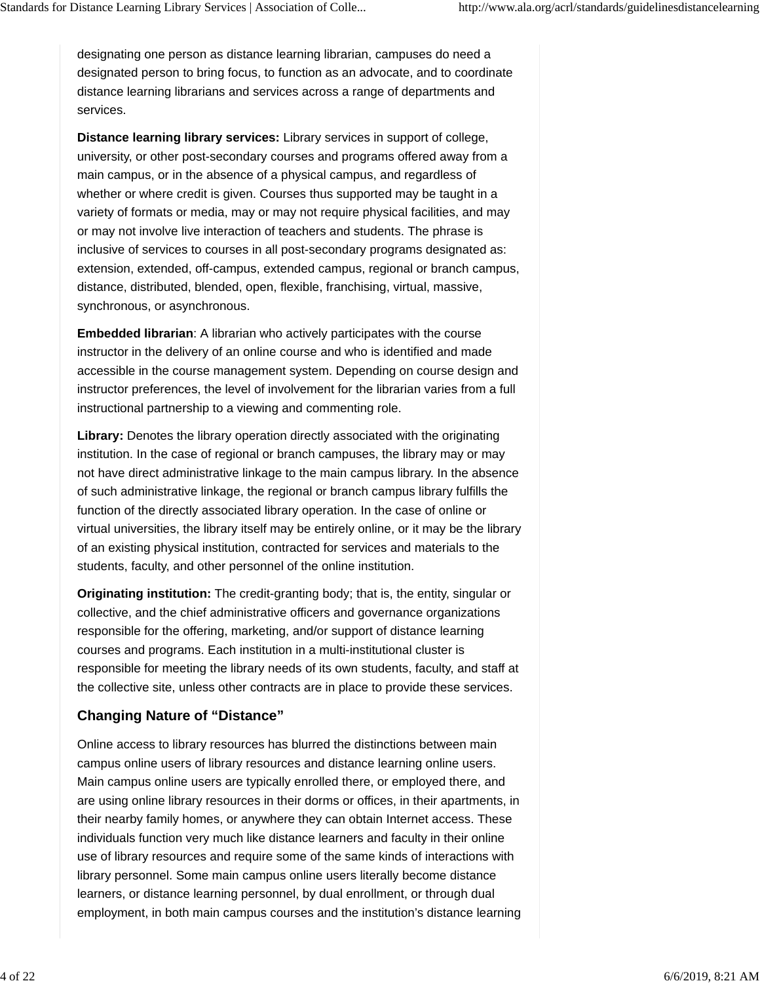designating one person as distance learning librarian, campuses do need a designated person to bring focus, to function as an advocate, and to coordinate distance learning librarians and services across a range of departments and services.

**Distance learning library services:** Library services in support of college, university, or other post-secondary courses and programs offered away from a main campus, or in the absence of a physical campus, and regardless of whether or where credit is given. Courses thus supported may be taught in a variety of formats or media, may or may not require physical facilities, and may or may not involve live interaction of teachers and students. The phrase is inclusive of services to courses in all post-secondary programs designated as: extension, extended, off-campus, extended campus, regional or branch campus, distance, distributed, blended, open, flexible, franchising, virtual, massive, synchronous, or asynchronous.

**Embedded librarian**: A librarian who actively participates with the course instructor in the delivery of an online course and who is identified and made accessible in the course management system. Depending on course design and instructor preferences, the level of involvement for the librarian varies from a full instructional partnership to a viewing and commenting role.

**Library:** Denotes the library operation directly associated with the originating institution. In the case of regional or branch campuses, the library may or may not have direct administrative linkage to the main campus library. In the absence of such administrative linkage, the regional or branch campus library fulfills the function of the directly associated library operation. In the case of online or virtual universities, the library itself may be entirely online, or it may be the library of an existing physical institution, contracted for services and materials to the students, faculty, and other personnel of the online institution.

**Originating institution:** The credit-granting body; that is, the entity, singular or collective, and the chief administrative officers and governance organizations responsible for the offering, marketing, and/or support of distance learning courses and programs. Each institution in a multi-institutional cluster is responsible for meeting the library needs of its own students, faculty, and staff at the collective site, unless other contracts are in place to provide these services.

### **Changing Nature of "Distance"**

Online access to library resources has blurred the distinctions between main campus online users of library resources and distance learning online users. Main campus online users are typically enrolled there, or employed there, and are using online library resources in their dorms or offices, in their apartments, in their nearby family homes, or anywhere they can obtain Internet access. These individuals function very much like distance learners and faculty in their online use of library resources and require some of the same kinds of interactions with library personnel. Some main campus online users literally become distance learners, or distance learning personnel, by dual enrollment, or through dual employment, in both main campus courses and the institution's distance learning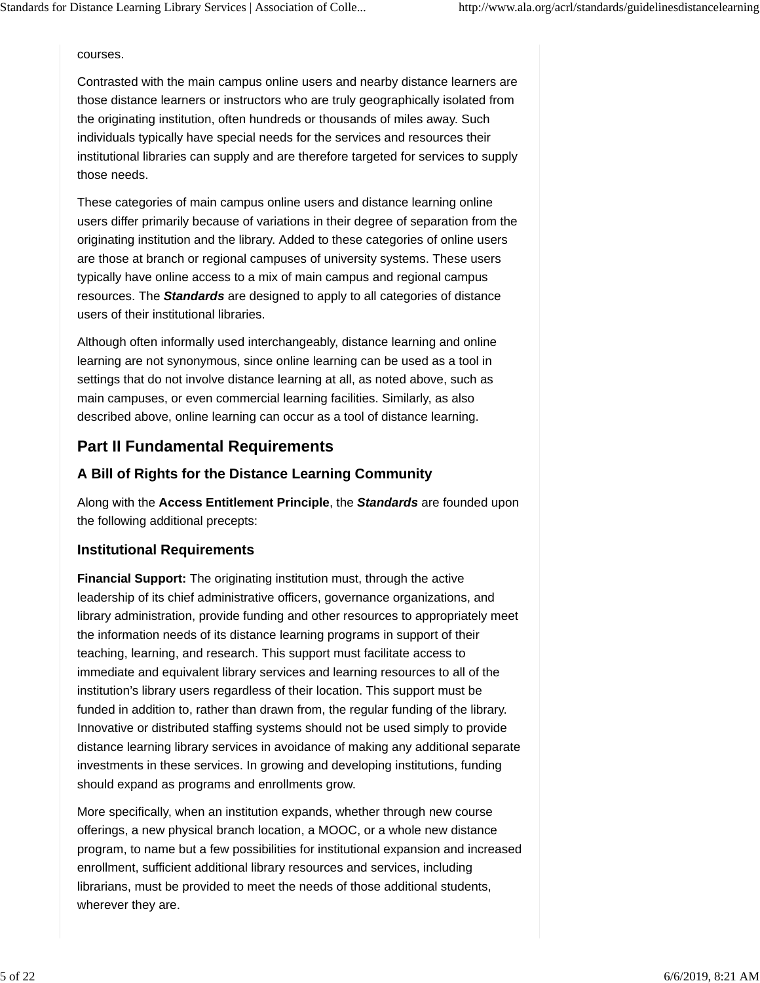courses.

Contrasted with the main campus online users and nearby distance learners are those distance learners or instructors who are truly geographically isolated from the originating institution, often hundreds or thousands of miles away. Such individuals typically have special needs for the services and resources their institutional libraries can supply and are therefore targeted for services to supply those needs.

These categories of main campus online users and distance learning online users differ primarily because of variations in their degree of separation from the originating institution and the library. Added to these categories of online users are those at branch or regional campuses of university systems. These users typically have online access to a mix of main campus and regional campus resources. The *Standards* are designed to apply to all categories of distance users of their institutional libraries.

Although often informally used interchangeably, distance learning and online learning are not synonymous, since online learning can be used as a tool in settings that do not involve distance learning at all, as noted above, such as main campuses, or even commercial learning facilities. Similarly, as also described above, online learning can occur as a tool of distance learning.

## **Part II Fundamental Requirements**

### **A Bill of Rights for the Distance Learning Community**

Along with the **Access Entitlement Principle**, the *Standards* are founded upon the following additional precepts:

### **Institutional Requirements**

**Financial Support:** The originating institution must, through the active leadership of its chief administrative officers, governance organizations, and library administration, provide funding and other resources to appropriately meet the information needs of its distance learning programs in support of their teaching, learning, and research. This support must facilitate access to immediate and equivalent library services and learning resources to all of the institution's library users regardless of their location. This support must be funded in addition to, rather than drawn from, the regular funding of the library. Innovative or distributed staffing systems should not be used simply to provide distance learning library services in avoidance of making any additional separate investments in these services. In growing and developing institutions, funding should expand as programs and enrollments grow.

More specifically, when an institution expands, whether through new course offerings, a new physical branch location, a MOOC, or a whole new distance program, to name but a few possibilities for institutional expansion and increased enrollment, sufficient additional library resources and services, including librarians, must be provided to meet the needs of those additional students, wherever they are.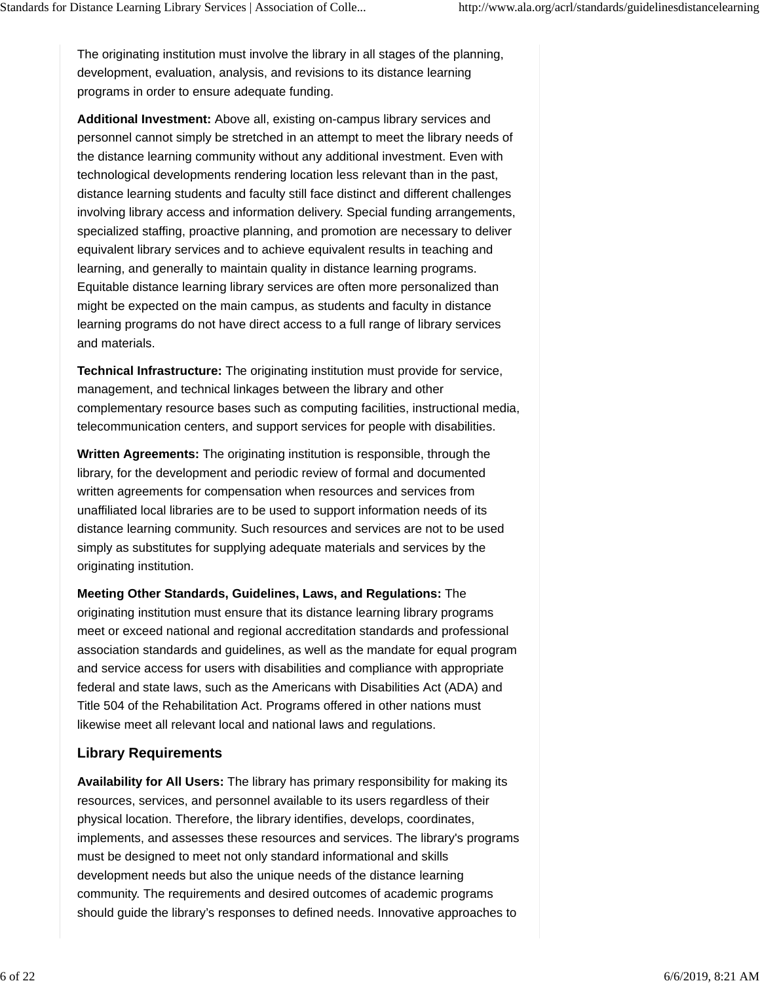The originating institution must involve the library in all stages of the planning, development, evaluation, analysis, and revisions to its distance learning programs in order to ensure adequate funding.

**Additional Investment:** Above all, existing on-campus library services and personnel cannot simply be stretched in an attempt to meet the library needs of the distance learning community without any additional investment. Even with technological developments rendering location less relevant than in the past, distance learning students and faculty still face distinct and different challenges involving library access and information delivery. Special funding arrangements, specialized staffing, proactive planning, and promotion are necessary to deliver equivalent library services and to achieve equivalent results in teaching and learning, and generally to maintain quality in distance learning programs. Equitable distance learning library services are often more personalized than might be expected on the main campus, as students and faculty in distance learning programs do not have direct access to a full range of library services and materials.

**Technical Infrastructure:** The originating institution must provide for service, management, and technical linkages between the library and other complementary resource bases such as computing facilities, instructional media, telecommunication centers, and support services for people with disabilities.

**Written Agreements:** The originating institution is responsible, through the library, for the development and periodic review of formal and documented written agreements for compensation when resources and services from unaffiliated local libraries are to be used to support information needs of its distance learning community. Such resources and services are not to be used simply as substitutes for supplying adequate materials and services by the originating institution.

**Meeting Other Standards, Guidelines, Laws, and Regulations:** The originating institution must ensure that its distance learning library programs meet or exceed national and regional accreditation standards and professional association standards and guidelines, as well as the mandate for equal program and service access for users with disabilities and compliance with appropriate federal and state laws, such as the Americans with Disabilities Act (ADA) and Title 504 of the Rehabilitation Act. Programs offered in other nations must likewise meet all relevant local and national laws and regulations.

#### **Library Requirements**

**Availability for All Users:** The library has primary responsibility for making its resources, services, and personnel available to its users regardless of their physical location. Therefore, the library identifies, develops, coordinates, implements, and assesses these resources and services. The library's programs must be designed to meet not only standard informational and skills development needs but also the unique needs of the distance learning community. The requirements and desired outcomes of academic programs should guide the library's responses to defined needs. Innovative approaches to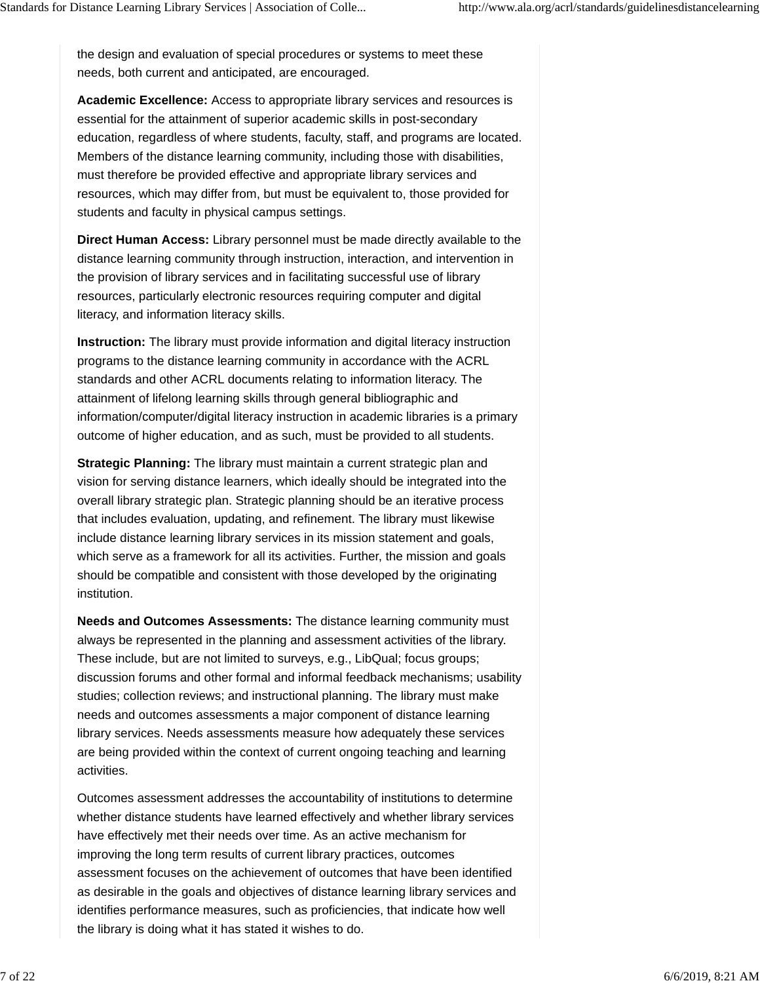the design and evaluation of special procedures or systems to meet these needs, both current and anticipated, are encouraged.

**Academic Excellence:** Access to appropriate library services and resources is essential for the attainment of superior academic skills in post-secondary education, regardless of where students, faculty, staff, and programs are located. Members of the distance learning community, including those with disabilities, must therefore be provided effective and appropriate library services and resources, which may differ from, but must be equivalent to, those provided for students and faculty in physical campus settings.

**Direct Human Access:** Library personnel must be made directly available to the distance learning community through instruction, interaction, and intervention in the provision of library services and in facilitating successful use of library resources, particularly electronic resources requiring computer and digital literacy, and information literacy skills.

**Instruction:** The library must provide information and digital literacy instruction programs to the distance learning community in accordance with the ACRL standards and other ACRL documents relating to information literacy. The attainment of lifelong learning skills through general bibliographic and information/computer/digital literacy instruction in academic libraries is a primary outcome of higher education, and as such, must be provided to all students.

**Strategic Planning:** The library must maintain a current strategic plan and vision for serving distance learners, which ideally should be integrated into the overall library strategic plan. Strategic planning should be an iterative process that includes evaluation, updating, and refinement. The library must likewise include distance learning library services in its mission statement and goals, which serve as a framework for all its activities. Further, the mission and goals should be compatible and consistent with those developed by the originating institution.

**Needs and Outcomes Assessments:** The distance learning community must always be represented in the planning and assessment activities of the library. These include, but are not limited to surveys, e.g., LibQual; focus groups; discussion forums and other formal and informal feedback mechanisms; usability studies; collection reviews; and instructional planning. The library must make needs and outcomes assessments a major component of distance learning library services. Needs assessments measure how adequately these services are being provided within the context of current ongoing teaching and learning activities.

Outcomes assessment addresses the accountability of institutions to determine whether distance students have learned effectively and whether library services have effectively met their needs over time. As an active mechanism for improving the long term results of current library practices, outcomes assessment focuses on the achievement of outcomes that have been identified as desirable in the goals and objectives of distance learning library services and identifies performance measures, such as proficiencies, that indicate how well the library is doing what it has stated it wishes to do.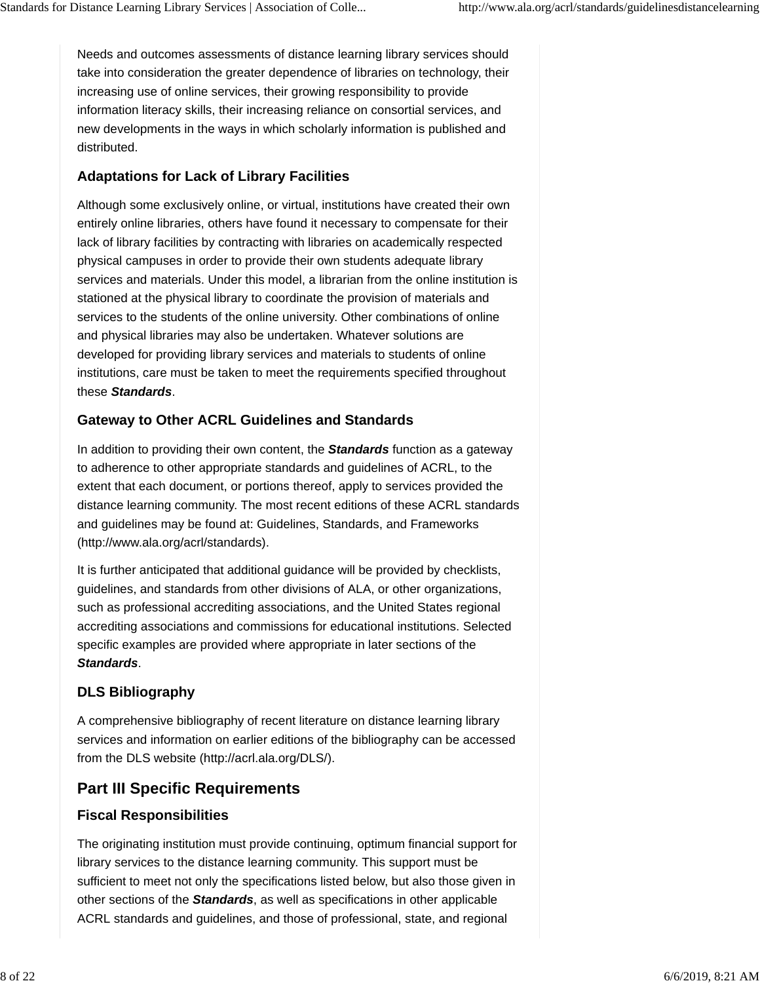Needs and outcomes assessments of distance learning library services should take into consideration the greater dependence of libraries on technology, their increasing use of online services, their growing responsibility to provide information literacy skills, their increasing reliance on consortial services, and new developments in the ways in which scholarly information is published and distributed.

### **Adaptations for Lack of Library Facilities**

Although some exclusively online, or virtual, institutions have created their own entirely online libraries, others have found it necessary to compensate for their lack of library facilities by contracting with libraries on academically respected physical campuses in order to provide their own students adequate library services and materials. Under this model, a librarian from the online institution is stationed at the physical library to coordinate the provision of materials and services to the students of the online university. Other combinations of online and physical libraries may also be undertaken. Whatever solutions are developed for providing library services and materials to students of online institutions, care must be taken to meet the requirements specified throughout these *Standards*.

### **Gateway to Other ACRL Guidelines and Standards**

In addition to providing their own content, the *Standards* function as a gateway to adherence to other appropriate standards and guidelines of ACRL, to the extent that each document, or portions thereof, apply to services provided the distance learning community. The most recent editions of these ACRL standards and guidelines may be found at: Guidelines, Standards, and Frameworks (http://www.ala.org/acrl/standards).

It is further anticipated that additional guidance will be provided by checklists, guidelines, and standards from other divisions of ALA, or other organizations, such as professional accrediting associations, and the United States regional accrediting associations and commissions for educational institutions. Selected specific examples are provided where appropriate in later sections of the *Standards*.

## **DLS Bibliography**

A comprehensive bibliography of recent literature on distance learning library services and information on earlier editions of the bibliography can be accessed from the DLS website (http://acrl.ala.org/DLS/).

# **Part III Specific Requirements**

## **Fiscal Responsibilities**

The originating institution must provide continuing, optimum financial support for library services to the distance learning community. This support must be sufficient to meet not only the specifications listed below, but also those given in other sections of the *Standards*, as well as specifications in other applicable ACRL standards and guidelines, and those of professional, state, and regional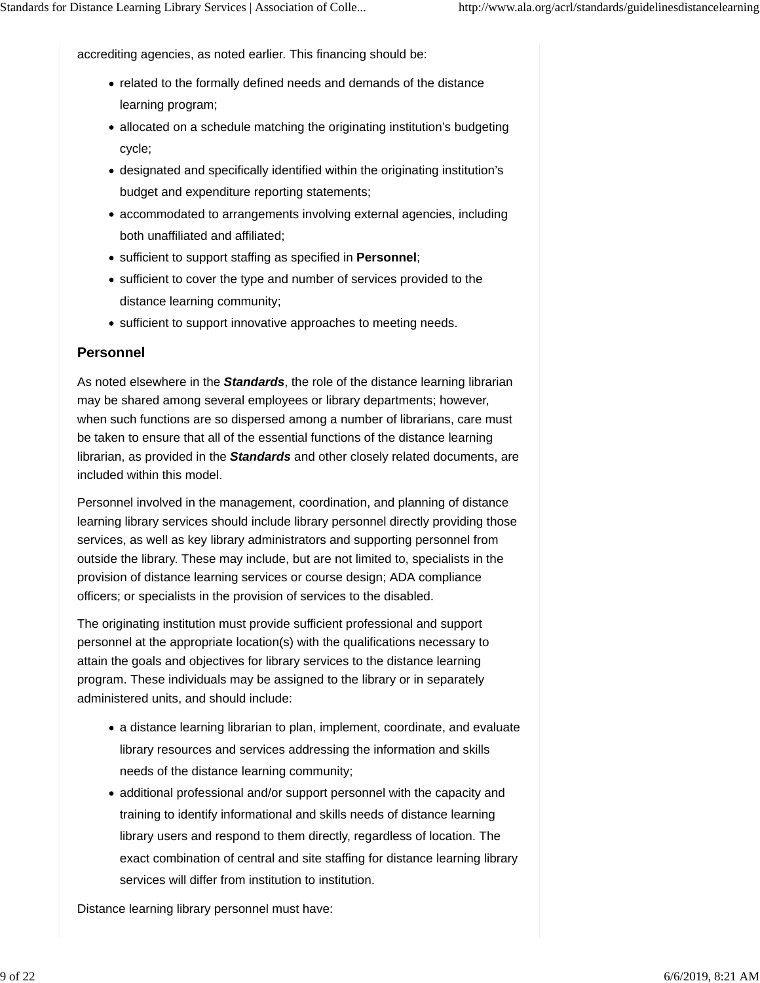accrediting agencies, as noted earlier. This financing should be:

- related to the formally defined needs and demands of the distance learning program;
- allocated on a schedule matching the originating institution's budgeting cycle;
- designated and specifically identified within the originating institution's budget and expenditure reporting statements;
- accommodated to arrangements involving external agencies, including both unaffiliated and affiliated;
- sufficient to support staffing as specified in **Personnel**;
- sufficient to cover the type and number of services provided to the distance learning community;
- sufficient to support innovative approaches to meeting needs.

#### **Personnel**

As noted elsewhere in the *Standards*, the role of the distance learning librarian may be shared among several employees or library departments; however, when such functions are so dispersed among a number of librarians, care must be taken to ensure that all of the essential functions of the distance learning librarian, as provided in the *Standards* and other closely related documents, are included within this model.

Personnel involved in the management, coordination, and planning of distance learning library services should include library personnel directly providing those services, as well as key library administrators and supporting personnel from outside the library. These may include, but are not limited to, specialists in the provision of distance learning services or course design; ADA compliance officers; or specialists in the provision of services to the disabled.

The originating institution must provide sufficient professional and support personnel at the appropriate location(s) with the qualifications necessary to attain the goals and objectives for library services to the distance learning program. These individuals may be assigned to the library or in separately administered units, and should include:

- a distance learning librarian to plan, implement, coordinate, and evaluate library resources and services addressing the information and skills needs of the distance learning community;
- additional professional and/or support personnel with the capacity and training to identify informational and skills needs of distance learning library users and respond to them directly, regardless of location. The exact combination of central and site staffing for distance learning library services will differ from institution to institution.

Distance learning library personnel must have: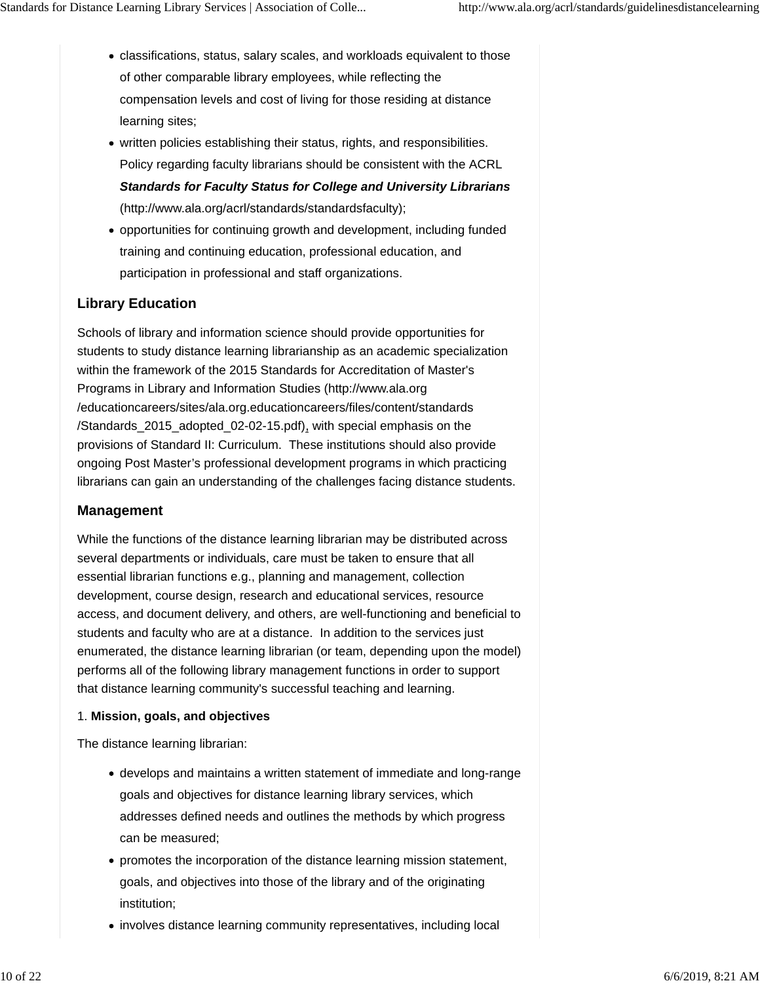- classifications, status, salary scales, and workloads equivalent to those of other comparable library employees, while reflecting the compensation levels and cost of living for those residing at distance learning sites;
- written policies establishing their status, rights, and responsibilities. Policy regarding faculty librarians should be consistent with the ACRL *Standards for Faculty Status for College and University Librarians*

(http://www.ala.org/acrl/standards/standardsfaculty);

• opportunities for continuing growth and development, including funded training and continuing education, professional education, and participation in professional and staff organizations.

### **Library Education**

Schools of library and information science should provide opportunities for students to study distance learning librarianship as an academic specialization within the framework of the 2015 Standards for Accreditation of Master's Programs in Library and Information Studies (http://www.ala.org /educationcareers/sites/ala.org.educationcareers/files/content/standards /Standards\_2015\_adopted\_02-02-15.pdf), with special emphasis on the provisions of Standard II: Curriculum. These institutions should also provide ongoing Post Master's professional development programs in which practicing librarians can gain an understanding of the challenges facing distance students.

#### **Management**

While the functions of the distance learning librarian may be distributed across several departments or individuals, care must be taken to ensure that all essential librarian functions e.g., planning and management, collection development, course design, research and educational services, resource access, and document delivery, and others, are well-functioning and beneficial to students and faculty who are at a distance. In addition to the services just enumerated, the distance learning librarian (or team, depending upon the model) performs all of the following library management functions in order to support that distance learning community's successful teaching and learning.

#### 1. **Mission, goals, and objectives**

The distance learning librarian:

- develops and maintains a written statement of immediate and long-range goals and objectives for distance learning library services, which addresses defined needs and outlines the methods by which progress can be measured;
- promotes the incorporation of the distance learning mission statement, goals, and objectives into those of the library and of the originating institution;
- involves distance learning community representatives, including local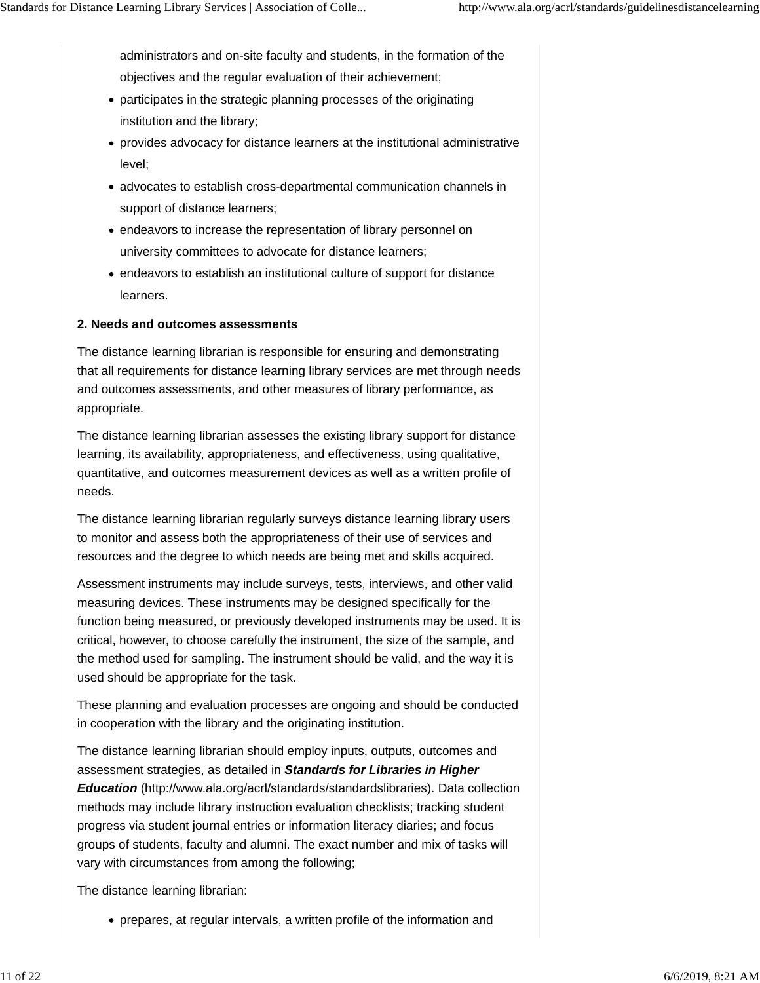administrators and on-site faculty and students, in the formation of the objectives and the regular evaluation of their achievement;

- participates in the strategic planning processes of the originating institution and the library;
- provides advocacy for distance learners at the institutional administrative level;
- advocates to establish cross-departmental communication channels in support of distance learners;
- endeavors to increase the representation of library personnel on university committees to advocate for distance learners;
- endeavors to establish an institutional culture of support for distance learners.

#### **2. Needs and outcomes assessments**

The distance learning librarian is responsible for ensuring and demonstrating that all requirements for distance learning library services are met through needs and outcomes assessments, and other measures of library performance, as appropriate.

The distance learning librarian assesses the existing library support for distance learning, its availability, appropriateness, and effectiveness, using qualitative, quantitative, and outcomes measurement devices as well as a written profile of needs.

The distance learning librarian regularly surveys distance learning library users to monitor and assess both the appropriateness of their use of services and resources and the degree to which needs are being met and skills acquired.

Assessment instruments may include surveys, tests, interviews, and other valid measuring devices. These instruments may be designed specifically for the function being measured, or previously developed instruments may be used. It is critical, however, to choose carefully the instrument, the size of the sample, and the method used for sampling. The instrument should be valid, and the way it is used should be appropriate for the task.

These planning and evaluation processes are ongoing and should be conducted in cooperation with the library and the originating institution.

The distance learning librarian should employ inputs, outputs, outcomes and assessment strategies, as detailed in *Standards for Libraries in Higher Education* (http://www.ala.org/acrl/standards/standardslibraries). Data collection methods may include library instruction evaluation checklists; tracking student progress via student journal entries or information literacy diaries; and focus groups of students, faculty and alumni. The exact number and mix of tasks will vary with circumstances from among the following;

The distance learning librarian:

prepares, at regular intervals, a written profile of the information and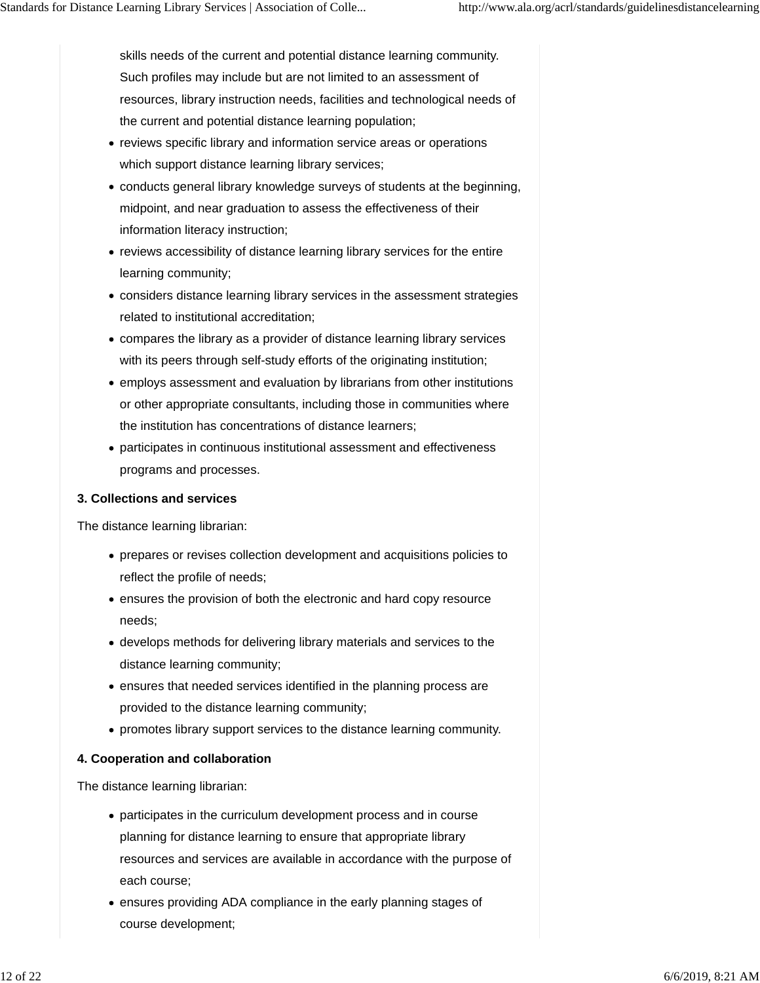skills needs of the current and potential distance learning community. Such profiles may include but are not limited to an assessment of resources, library instruction needs, facilities and technological needs of the current and potential distance learning population;

- reviews specific library and information service areas or operations which support distance learning library services;
- conducts general library knowledge surveys of students at the beginning, midpoint, and near graduation to assess the effectiveness of their information literacy instruction;
- reviews accessibility of distance learning library services for the entire learning community;
- considers distance learning library services in the assessment strategies related to institutional accreditation;
- compares the library as a provider of distance learning library services with its peers through self-study efforts of the originating institution;
- employs assessment and evaluation by librarians from other institutions or other appropriate consultants, including those in communities where the institution has concentrations of distance learners;
- participates in continuous institutional assessment and effectiveness programs and processes.

#### **3. Collections and services**

The distance learning librarian:

- prepares or revises collection development and acquisitions policies to reflect the profile of needs;
- ensures the provision of both the electronic and hard copy resource needs;
- develops methods for delivering library materials and services to the distance learning community;
- ensures that needed services identified in the planning process are provided to the distance learning community;
- promotes library support services to the distance learning community.

#### **4. Cooperation and collaboration**

The distance learning librarian:

- participates in the curriculum development process and in course planning for distance learning to ensure that appropriate library resources and services are available in accordance with the purpose of each course;
- ensures providing ADA compliance in the early planning stages of course development;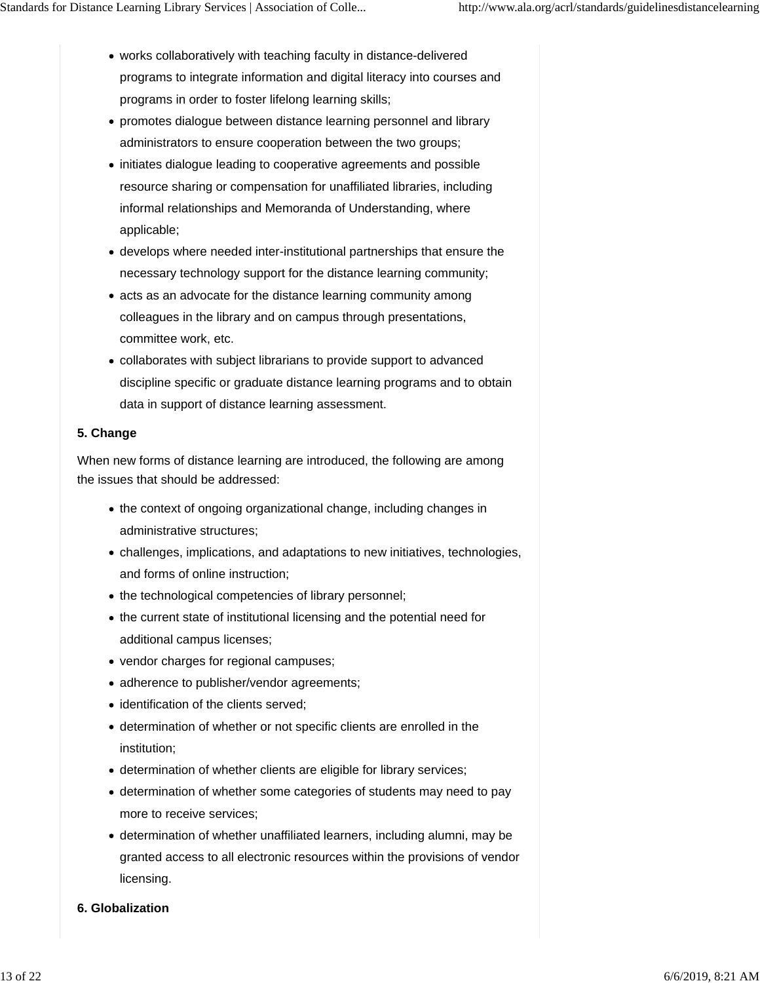- works collaboratively with teaching faculty in distance-delivered programs to integrate information and digital literacy into courses and programs in order to foster lifelong learning skills;
- promotes dialogue between distance learning personnel and library administrators to ensure cooperation between the two groups;
- initiates dialogue leading to cooperative agreements and possible resource sharing or compensation for unaffiliated libraries, including informal relationships and Memoranda of Understanding, where applicable;
- develops where needed inter-institutional partnerships that ensure the necessary technology support for the distance learning community;
- acts as an advocate for the distance learning community among colleagues in the library and on campus through presentations, committee work, etc.
- collaborates with subject librarians to provide support to advanced discipline specific or graduate distance learning programs and to obtain data in support of distance learning assessment.

#### **5. Change**

When new forms of distance learning are introduced, the following are among the issues that should be addressed:

- the context of ongoing organizational change, including changes in administrative structures;
- challenges, implications, and adaptations to new initiatives, technologies, and forms of online instruction;
- the technological competencies of library personnel;
- the current state of institutional licensing and the potential need for additional campus licenses;
- vendor charges for regional campuses;
- adherence to publisher/vendor agreements;
- identification of the clients served;
- determination of whether or not specific clients are enrolled in the institution;
- determination of whether clients are eligible for library services;
- determination of whether some categories of students may need to pay more to receive services;
- determination of whether unaffiliated learners, including alumni, may be granted access to all electronic resources within the provisions of vendor licensing.
- **6. Globalization**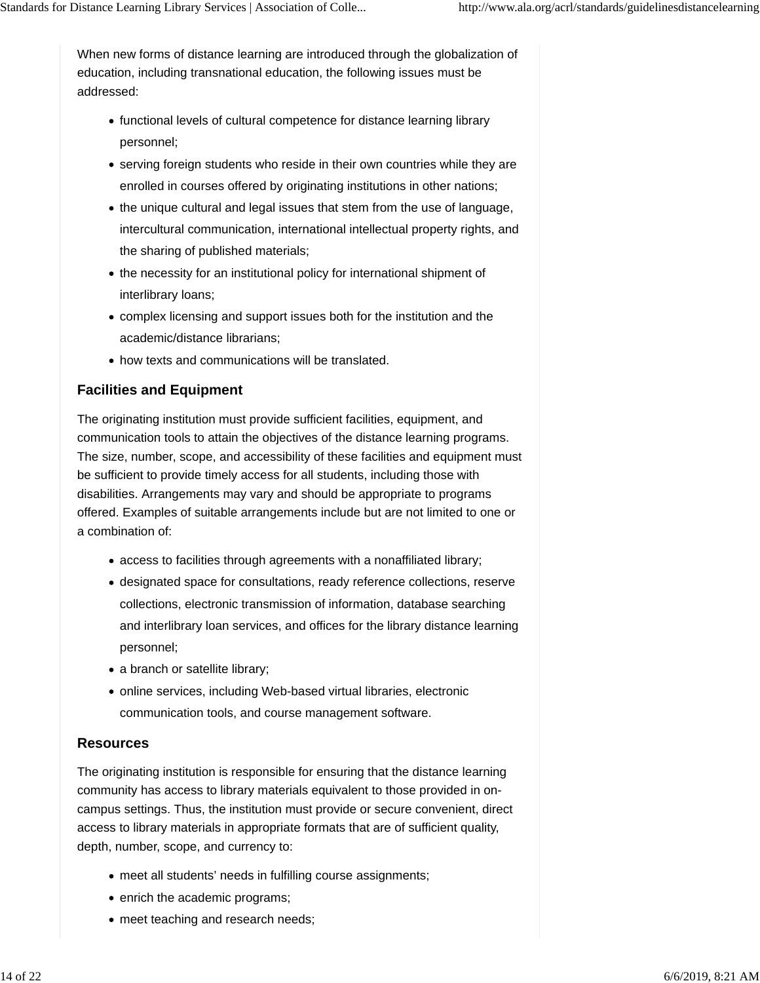When new forms of distance learning are introduced through the globalization of education, including transnational education, the following issues must be addressed:

- functional levels of cultural competence for distance learning library personnel;
- serving foreign students who reside in their own countries while they are enrolled in courses offered by originating institutions in other nations;
- the unique cultural and legal issues that stem from the use of language, intercultural communication, international intellectual property rights, and the sharing of published materials;
- the necessity for an institutional policy for international shipment of interlibrary loans;
- complex licensing and support issues both for the institution and the academic/distance librarians;
- how texts and communications will be translated.

# **Facilities and Equipment**

The originating institution must provide sufficient facilities, equipment, and communication tools to attain the objectives of the distance learning programs. The size, number, scope, and accessibility of these facilities and equipment must be sufficient to provide timely access for all students, including those with disabilities. Arrangements may vary and should be appropriate to programs offered. Examples of suitable arrangements include but are not limited to one or a combination of:

- access to facilities through agreements with a nonaffiliated library;
- designated space for consultations, ready reference collections, reserve collections, electronic transmission of information, database searching and interlibrary loan services, and offices for the library distance learning personnel;
- a branch or satellite library;
- online services, including Web-based virtual libraries, electronic communication tools, and course management software.

## **Resources**

The originating institution is responsible for ensuring that the distance learning community has access to library materials equivalent to those provided in oncampus settings. Thus, the institution must provide or secure convenient, direct access to library materials in appropriate formats that are of sufficient quality, depth, number, scope, and currency to:

- meet all students' needs in fulfilling course assignments;
- enrich the academic programs;
- meet teaching and research needs;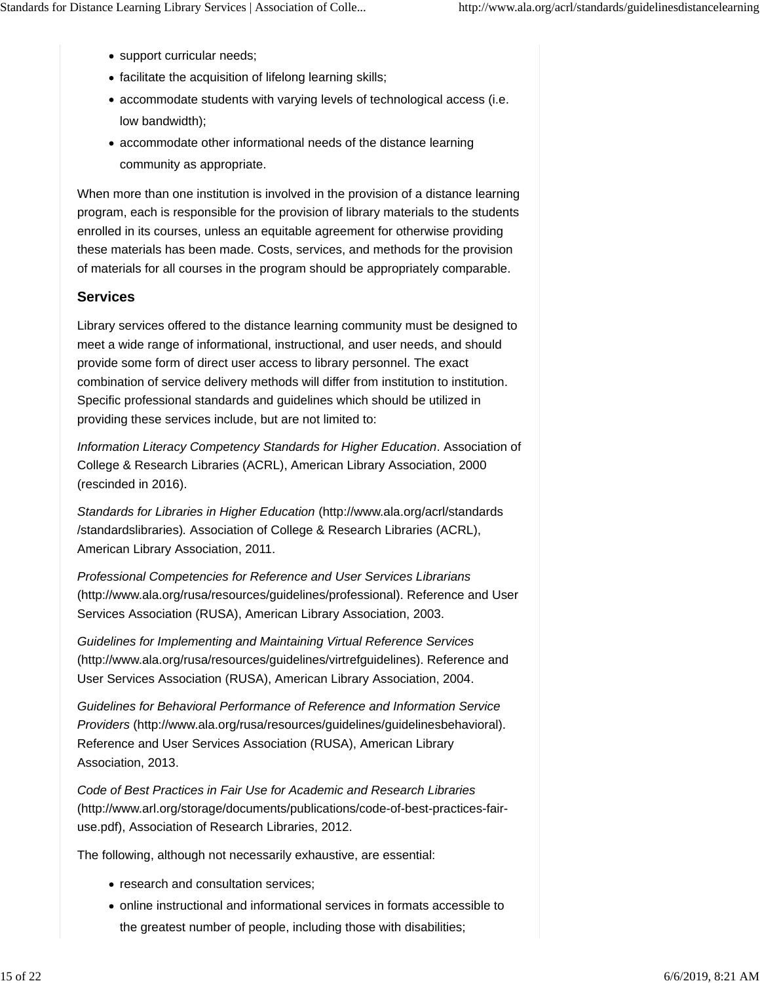- support curricular needs;
- facilitate the acquisition of lifelong learning skills;
- accommodate students with varying levels of technological access (i.e. low bandwidth);
- accommodate other informational needs of the distance learning community as appropriate.

When more than one institution is involved in the provision of a distance learning program, each is responsible for the provision of library materials to the students enrolled in its courses, unless an equitable agreement for otherwise providing these materials has been made. Costs, services, and methods for the provision of materials for all courses in the program should be appropriately comparable.

#### **Services**

Library services offered to the distance learning community must be designed to meet a wide range of informational, instructional*,* and user needs, and should provide some form of direct user access to library personnel. The exact combination of service delivery methods will differ from institution to institution. Specific professional standards and guidelines which should be utilized in providing these services include, but are not limited to:

*Information Literacy Competency Standards for Higher Education*. Association of College & Research Libraries (ACRL), American Library Association, 2000 (rescinded in 2016).

*Standards for Libraries in Higher Education* (http://www.ala.org/acrl/standards /standardslibraries)*.* Association of College & Research Libraries (ACRL), American Library Association, 2011.

*Professional Competencies for Reference and User Services Librarians* (http://www.ala.org/rusa/resources/guidelines/professional). Reference and User Services Association (RUSA), American Library Association, 2003.

*Guidelines for Implementing and Maintaining Virtual Reference Services* (http://www.ala.org/rusa/resources/guidelines/virtrefguidelines). Reference and User Services Association (RUSA), American Library Association, 2004.

*Guidelines for Behavioral Performance of Reference and Information Service Providers* (http://www.ala.org/rusa/resources/guidelines/guidelinesbehavioral). Reference and User Services Association (RUSA), American Library Association, 2013.

*Code of Best Practices in Fair Use for Academic and Research Libraries* (http://www.arl.org/storage/documents/publications/code-of-best-practices-fairuse.pdf), Association of Research Libraries, 2012.

The following, although not necessarily exhaustive, are essential:

- research and consultation services;
- online instructional and informational services in formats accessible to the greatest number of people, including those with disabilities;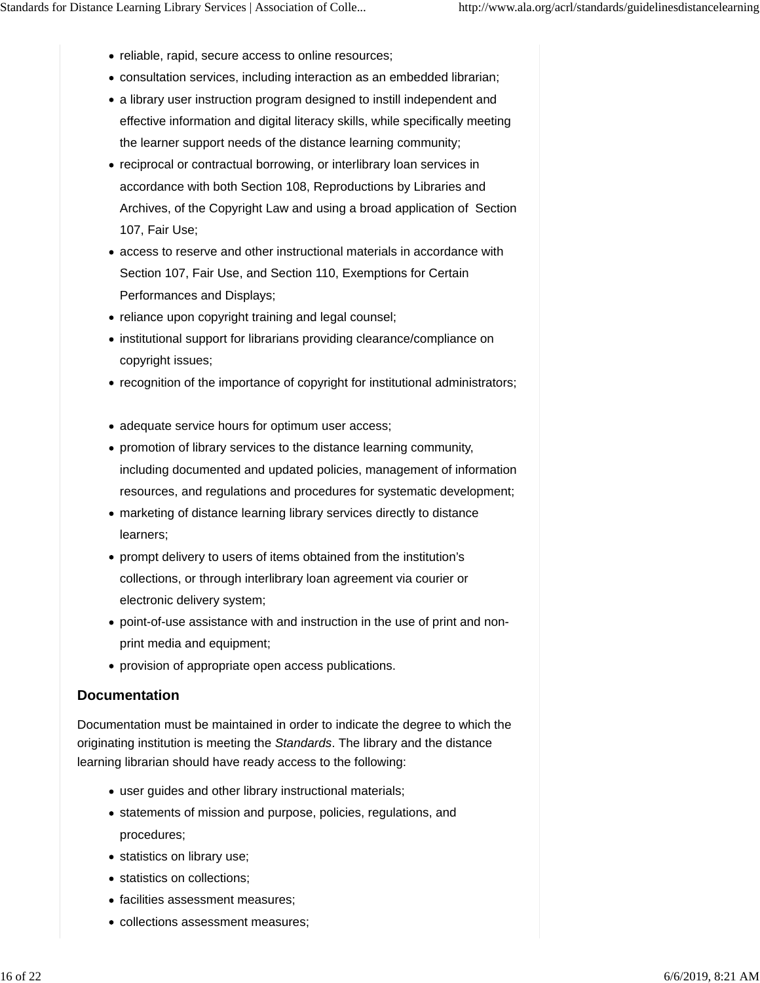- reliable, rapid, secure access to online resources;
- consultation services, including interaction as an embedded librarian;
- a library user instruction program designed to instill independent and effective information and digital literacy skills, while specifically meeting the learner support needs of the distance learning community;
- reciprocal or contractual borrowing, or interlibrary loan services in accordance with both Section 108, Reproductions by Libraries and Archives, of the Copyright Law and using a broad application of Section 107, Fair Use;
- access to reserve and other instructional materials in accordance with Section 107, Fair Use, and Section 110, Exemptions for Certain Performances and Displays;
- reliance upon copyright training and legal counsel;
- institutional support for librarians providing clearance/compliance on copyright issues;
- recognition of the importance of copyright for institutional administrators;
- adequate service hours for optimum user access;
- promotion of library services to the distance learning community, including documented and updated policies, management of information resources, and regulations and procedures for systematic development;
- marketing of distance learning library services directly to distance learners;
- prompt delivery to users of items obtained from the institution's collections, or through interlibrary loan agreement via courier or electronic delivery system;
- point-of-use assistance with and instruction in the use of print and nonprint media and equipment;
- provision of appropriate open access publications.

### **Documentation**

Documentation must be maintained in order to indicate the degree to which the originating institution is meeting the *Standards*. The library and the distance learning librarian should have ready access to the following:

- user guides and other library instructional materials;
- statements of mission and purpose, policies, regulations, and procedures;
- statistics on library use;
- statistics on collections;
- facilities assessment measures;
- collections assessment measures;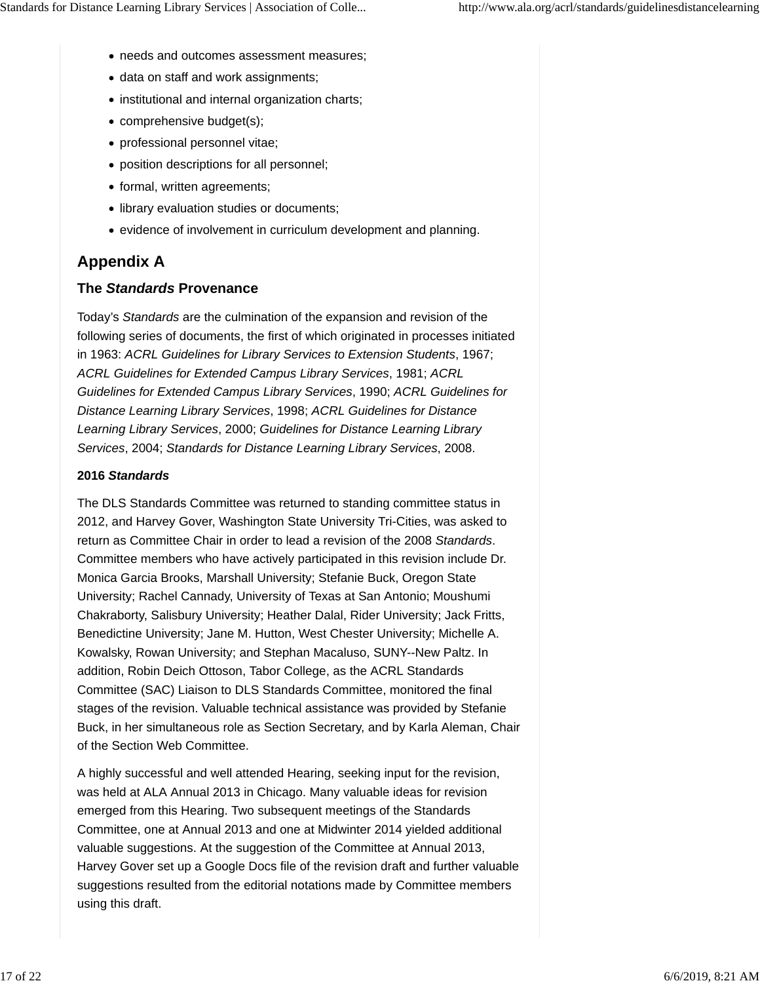- needs and outcomes assessment measures;
- data on staff and work assignments;
- institutional and internal organization charts;
- comprehensive budget(s);
- professional personnel vitae;
- position descriptions for all personnel;
- formal, written agreements;
- library evaluation studies or documents;
- evidence of involvement in curriculum development and planning.

# **Appendix A**

#### **The** *Standards* **Provenance**

Today's *Standards* are the culmination of the expansion and revision of the following series of documents, the first of which originated in processes initiated in 1963: *ACRL Guidelines for Library Services to Extension Students*, 1967; *ACRL Guidelines for Extended Campus Library Services*, 1981; *ACRL Guidelines for Extended Campus Library Services*, 1990; *ACRL Guidelines for Distance Learning Library Services*, 1998; *ACRL Guidelines for Distance Learning Library Services*, 2000; *Guidelines for Distance Learning Library Services*, 2004; *Standards for Distance Learning Library Services*, 2008.

#### **2016** *Standards*

The DLS Standards Committee was returned to standing committee status in 2012, and Harvey Gover, Washington State University Tri-Cities, was asked to return as Committee Chair in order to lead a revision of the 2008 *Standards*. Committee members who have actively participated in this revision include Dr. Monica Garcia Brooks, Marshall University; Stefanie Buck, Oregon State University; Rachel Cannady, University of Texas at San Antonio; Moushumi Chakraborty, Salisbury University; Heather Dalal, Rider University; Jack Fritts, Benedictine University; Jane M. Hutton, West Chester University; Michelle A. Kowalsky, Rowan University; and Stephan Macaluso, SUNY--New Paltz. In addition, Robin Deich Ottoson, Tabor College, as the ACRL Standards Committee (SAC) Liaison to DLS Standards Committee, monitored the final stages of the revision. Valuable technical assistance was provided by Stefanie Buck, in her simultaneous role as Section Secretary, and by Karla Aleman, Chair of the Section Web Committee.

A highly successful and well attended Hearing, seeking input for the revision, was held at ALA Annual 2013 in Chicago. Many valuable ideas for revision emerged from this Hearing. Two subsequent meetings of the Standards Committee, one at Annual 2013 and one at Midwinter 2014 yielded additional valuable suggestions. At the suggestion of the Committee at Annual 2013, Harvey Gover set up a Google Docs file of the revision draft and further valuable suggestions resulted from the editorial notations made by Committee members using this draft.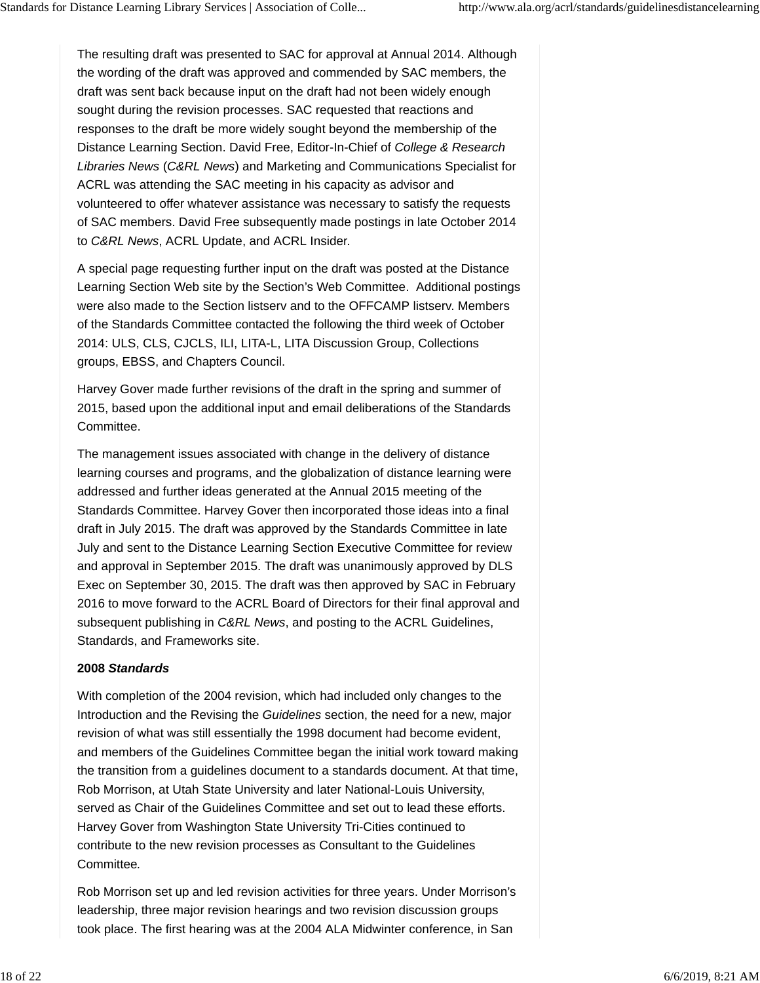The resulting draft was presented to SAC for approval at Annual 2014. Although the wording of the draft was approved and commended by SAC members, the draft was sent back because input on the draft had not been widely enough sought during the revision processes. SAC requested that reactions and responses to the draft be more widely sought beyond the membership of the Distance Learning Section. David Free, Editor-In-Chief of *College & Research Libraries News* (*C&RL News*) and Marketing and Communications Specialist for ACRL was attending the SAC meeting in his capacity as advisor and volunteered to offer whatever assistance was necessary to satisfy the requests of SAC members. David Free subsequently made postings in late October 2014 to *C&RL News*, ACRL Update, and ACRL Insider.

A special page requesting further input on the draft was posted at the Distance Learning Section Web site by the Section's Web Committee. Additional postings were also made to the Section listserv and to the OFFCAMP listserv. Members of the Standards Committee contacted the following the third week of October 2014: ULS, CLS, CJCLS, ILI, LITA-L, LITA Discussion Group, Collections groups, EBSS, and Chapters Council.

Harvey Gover made further revisions of the draft in the spring and summer of 2015, based upon the additional input and email deliberations of the Standards Committee.

The management issues associated with change in the delivery of distance learning courses and programs, and the globalization of distance learning were addressed and further ideas generated at the Annual 2015 meeting of the Standards Committee. Harvey Gover then incorporated those ideas into a final draft in July 2015. The draft was approved by the Standards Committee in late July and sent to the Distance Learning Section Executive Committee for review and approval in September 2015. The draft was unanimously approved by DLS Exec on September 30, 2015. The draft was then approved by SAC in February 2016 to move forward to the ACRL Board of Directors for their final approval and subsequent publishing in *C&RL News*, and posting to the ACRL Guidelines, Standards, and Frameworks site.

#### **2008** *Standards*

With completion of the 2004 revision, which had included only changes to the Introduction and the Revising the *Guidelines* section, the need for a new, major revision of what was still essentially the 1998 document had become evident, and members of the Guidelines Committee began the initial work toward making the transition from a guidelines document to a standards document. At that time, Rob Morrison, at Utah State University and later National-Louis University, served as Chair of the Guidelines Committee and set out to lead these efforts. Harvey Gover from Washington State University Tri-Cities continued to contribute to the new revision processes as Consultant to the Guidelines Committee*.*

Rob Morrison set up and led revision activities for three years. Under Morrison's leadership, three major revision hearings and two revision discussion groups took place. The first hearing was at the 2004 ALA Midwinter conference, in San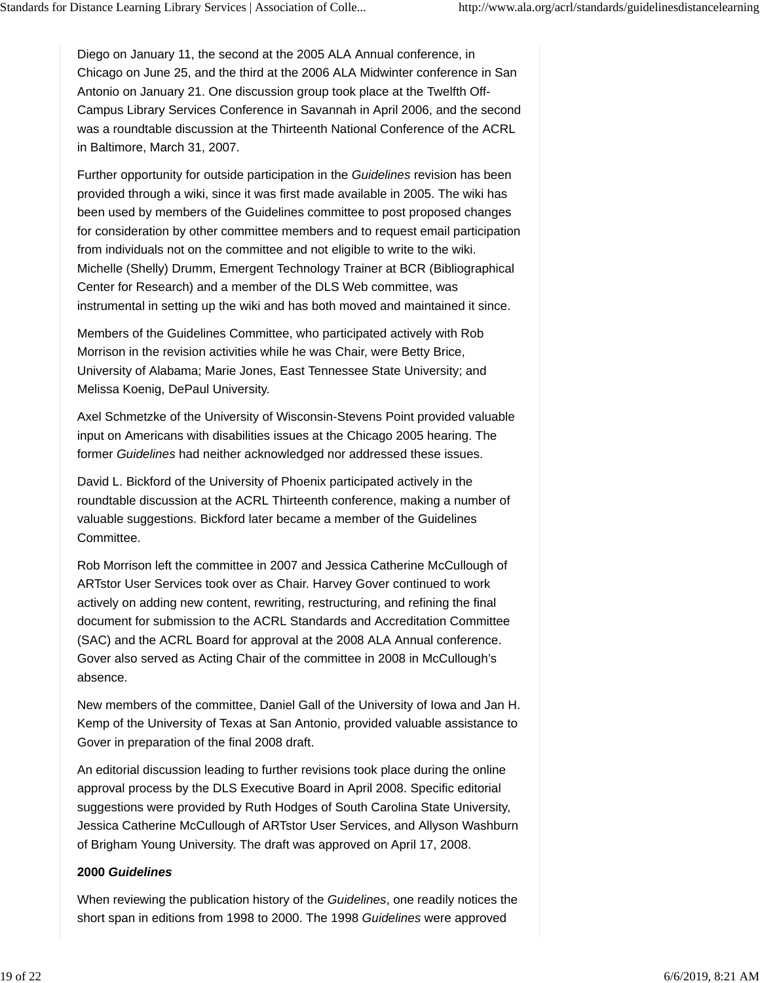Diego on January 11, the second at the 2005 ALA Annual conference, in Chicago on June 25, and the third at the 2006 ALA Midwinter conference in San Antonio on January 21. One discussion group took place at the Twelfth Off-Campus Library Services Conference in Savannah in April 2006, and the second was a roundtable discussion at the Thirteenth National Conference of the ACRL in Baltimore, March 31, 2007.

Further opportunity for outside participation in the *Guidelines* revision has been provided through a wiki, since it was first made available in 2005. The wiki has been used by members of the Guidelines committee to post proposed changes for consideration by other committee members and to request email participation from individuals not on the committee and not eligible to write to the wiki. Michelle (Shelly) Drumm, Emergent Technology Trainer at BCR (Bibliographical Center for Research) and a member of the DLS Web committee, was instrumental in setting up the wiki and has both moved and maintained it since.

Members of the Guidelines Committee, who participated actively with Rob Morrison in the revision activities while he was Chair, were Betty Brice, University of Alabama; Marie Jones, East Tennessee State University; and Melissa Koenig, DePaul University.

Axel Schmetzke of the University of Wisconsin-Stevens Point provided valuable input on Americans with disabilities issues at the Chicago 2005 hearing. The former *Guidelines* had neither acknowledged nor addressed these issues.

David L. Bickford of the University of Phoenix participated actively in the roundtable discussion at the ACRL Thirteenth conference, making a number of valuable suggestions. Bickford later became a member of the Guidelines Committee.

Rob Morrison left the committee in 2007 and Jessica Catherine McCullough of ARTstor User Services took over as Chair. Harvey Gover continued to work actively on adding new content, rewriting, restructuring, and refining the final document for submission to the ACRL Standards and Accreditation Committee (SAC) and the ACRL Board for approval at the 2008 ALA Annual conference. Gover also served as Acting Chair of the committee in 2008 in McCullough's absence.

New members of the committee, Daniel Gall of the University of Iowa and Jan H. Kemp of the University of Texas at San Antonio, provided valuable assistance to Gover in preparation of the final 2008 draft.

An editorial discussion leading to further revisions took place during the online approval process by the DLS Executive Board in April 2008. Specific editorial suggestions were provided by Ruth Hodges of South Carolina State University, Jessica Catherine McCullough of ARTstor User Services, and Allyson Washburn of Brigham Young University. The draft was approved on April 17, 2008.

#### **2000** *Guidelines*

When reviewing the publication history of the *Guidelines*, one readily notices the short span in editions from 1998 to 2000. The 1998 *Guidelines* were approved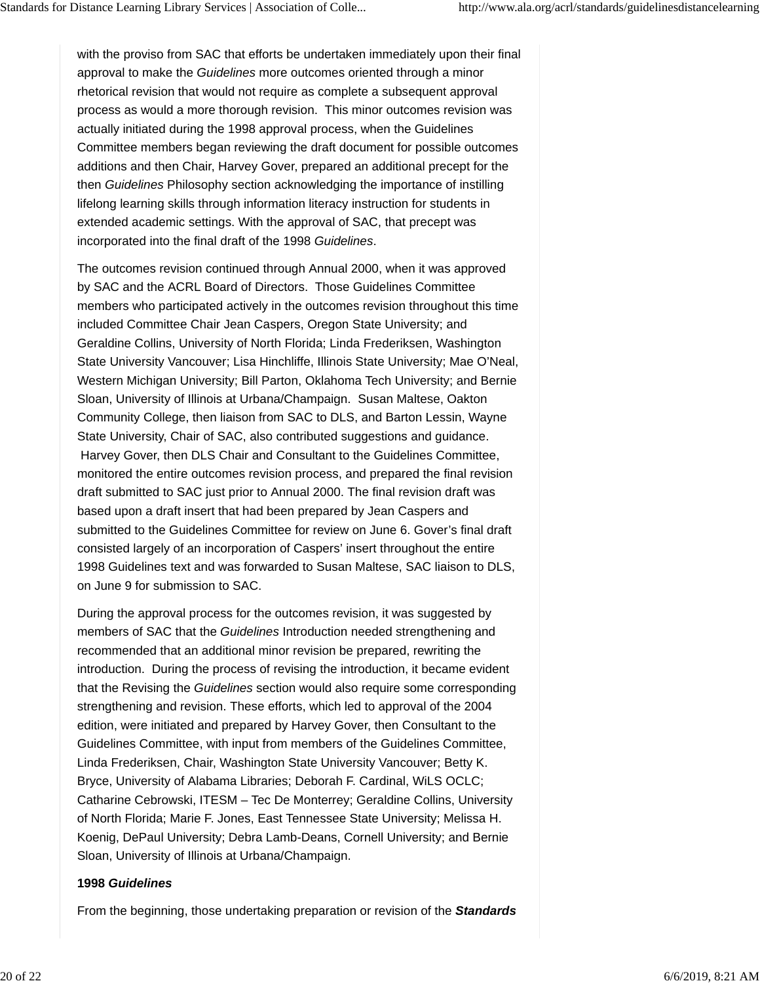with the proviso from SAC that efforts be undertaken immediately upon their final approval to make the *Guidelines* more outcomes oriented through a minor rhetorical revision that would not require as complete a subsequent approval process as would a more thorough revision. This minor outcomes revision was actually initiated during the 1998 approval process, when the Guidelines Committee members began reviewing the draft document for possible outcomes additions and then Chair, Harvey Gover, prepared an additional precept for the then *Guidelines* Philosophy section acknowledging the importance of instilling lifelong learning skills through information literacy instruction for students in extended academic settings. With the approval of SAC, that precept was incorporated into the final draft of the 1998 *Guidelines*.

The outcomes revision continued through Annual 2000, when it was approved by SAC and the ACRL Board of Directors. Those Guidelines Committee members who participated actively in the outcomes revision throughout this time included Committee Chair Jean Caspers, Oregon State University; and Geraldine Collins, University of North Florida; Linda Frederiksen, Washington State University Vancouver; Lisa Hinchliffe, Illinois State University; Mae O'Neal, Western Michigan University; Bill Parton, Oklahoma Tech University; and Bernie Sloan, University of Illinois at Urbana/Champaign. Susan Maltese, Oakton Community College, then liaison from SAC to DLS, and Barton Lessin, Wayne State University, Chair of SAC, also contributed suggestions and guidance. Harvey Gover, then DLS Chair and Consultant to the Guidelines Committee, monitored the entire outcomes revision process, and prepared the final revision draft submitted to SAC just prior to Annual 2000. The final revision draft was based upon a draft insert that had been prepared by Jean Caspers and submitted to the Guidelines Committee for review on June 6. Gover's final draft consisted largely of an incorporation of Caspers' insert throughout the entire 1998 Guidelines text and was forwarded to Susan Maltese, SAC liaison to DLS, on June 9 for submission to SAC.

During the approval process for the outcomes revision, it was suggested by members of SAC that the *Guidelines* Introduction needed strengthening and recommended that an additional minor revision be prepared, rewriting the introduction. During the process of revising the introduction, it became evident that the Revising the *Guidelines* section would also require some corresponding strengthening and revision. These efforts, which led to approval of the 2004 edition, were initiated and prepared by Harvey Gover, then Consultant to the Guidelines Committee, with input from members of the Guidelines Committee, Linda Frederiksen, Chair, Washington State University Vancouver; Betty K. Bryce, University of Alabama Libraries; Deborah F. Cardinal, WiLS OCLC; Catharine Cebrowski, ITESM – Tec De Monterrey; Geraldine Collins, University of North Florida; Marie F. Jones, East Tennessee State University; Melissa H. Koenig, DePaul University; Debra Lamb-Deans, Cornell University; and Bernie Sloan, University of Illinois at Urbana/Champaign.

#### **1998** *Guidelines*

From the beginning, those undertaking preparation or revision of the *Standards*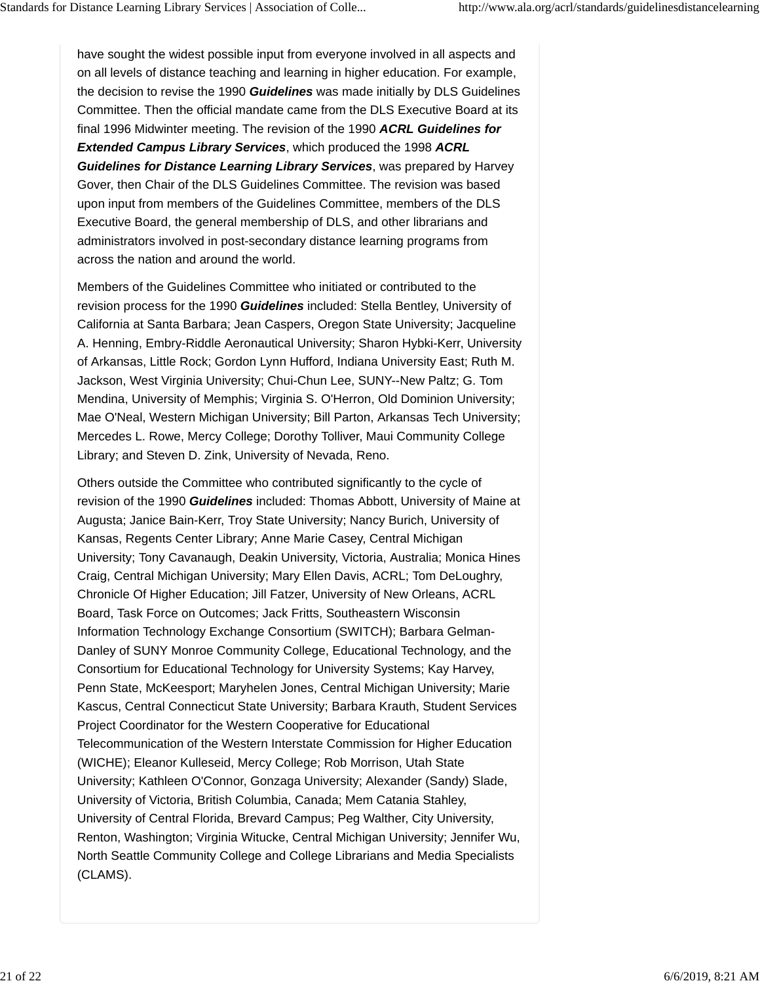have sought the widest possible input from everyone involved in all aspects and on all levels of distance teaching and learning in higher education. For example, the decision to revise the 1990 *Guidelines* was made initially by DLS Guidelines Committee. Then the official mandate came from the DLS Executive Board at its final 1996 Midwinter meeting. The revision of the 1990 *ACRL Guidelines for Extended Campus Library Services*, which produced the 1998 *ACRL Guidelines for Distance Learning Library Services*, was prepared by Harvey Gover, then Chair of the DLS Guidelines Committee. The revision was based upon input from members of the Guidelines Committee, members of the DLS Executive Board, the general membership of DLS, and other librarians and administrators involved in post-secondary distance learning programs from across the nation and around the world.

Members of the Guidelines Committee who initiated or contributed to the revision process for the 1990 *Guidelines* included: Stella Bentley, University of California at Santa Barbara; Jean Caspers, Oregon State University; Jacqueline A. Henning, Embry-Riddle Aeronautical University; Sharon Hybki-Kerr, University of Arkansas, Little Rock; Gordon Lynn Hufford, Indiana University East; Ruth M. Jackson, West Virginia University; Chui-Chun Lee, SUNY--New Paltz; G. Tom Mendina, University of Memphis; Virginia S. O'Herron, Old Dominion University; Mae O'Neal, Western Michigan University; Bill Parton, Arkansas Tech University; Mercedes L. Rowe, Mercy College; Dorothy Tolliver, Maui Community College Library; and Steven D. Zink, University of Nevada, Reno.

Others outside the Committee who contributed significantly to the cycle of revision of the 1990 *Guidelines* included: Thomas Abbott, University of Maine at Augusta; Janice Bain-Kerr, Troy State University; Nancy Burich, University of Kansas, Regents Center Library; Anne Marie Casey, Central Michigan University; Tony Cavanaugh, Deakin University, Victoria, Australia; Monica Hines Craig, Central Michigan University; Mary Ellen Davis, ACRL; Tom DeLoughry, Chronicle Of Higher Education; Jill Fatzer, University of New Orleans, ACRL Board, Task Force on Outcomes; Jack Fritts, Southeastern Wisconsin Information Technology Exchange Consortium (SWITCH); Barbara Gelman-Danley of SUNY Monroe Community College, Educational Technology, and the Consortium for Educational Technology for University Systems; Kay Harvey, Penn State, McKeesport; Maryhelen Jones, Central Michigan University; Marie Kascus, Central Connecticut State University; Barbara Krauth, Student Services Project Coordinator for the Western Cooperative for Educational Telecommunication of the Western Interstate Commission for Higher Education (WICHE); Eleanor Kulleseid, Mercy College; Rob Morrison, Utah State University; Kathleen O'Connor, Gonzaga University; Alexander (Sandy) Slade, University of Victoria, British Columbia, Canada; Mem Catania Stahley, University of Central Florida, Brevard Campus; Peg Walther, City University, Renton, Washington; Virginia Witucke, Central Michigan University; Jennifer Wu, North Seattle Community College and College Librarians and Media Specialists (CLAMS).